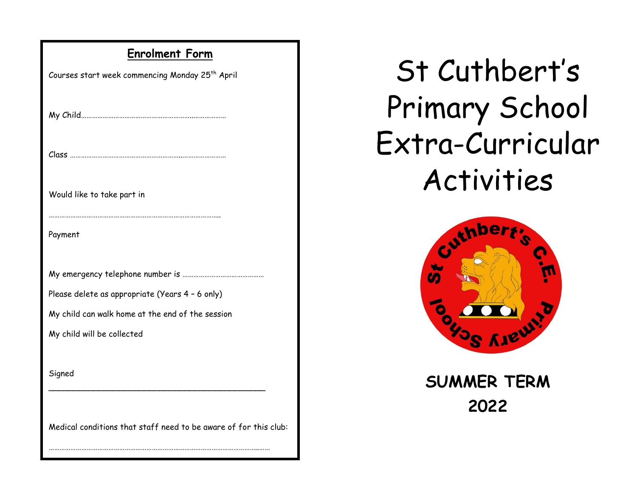## **Enrolment Form**

| Courses start week commencing Monday 25 <sup>th</sup> April      |
|------------------------------------------------------------------|
|                                                                  |
|                                                                  |
| Would like to take part in                                       |
| Payment                                                          |
|                                                                  |
| Please delete as appropriate (Years 4 - 6 only)                  |
| My child can walk home at the end of the session                 |
| My child will be collected                                       |
|                                                                  |
| Signed                                                           |
|                                                                  |
| Medical conditions that staff need to be aware of for this club: |

……………………………………………………………………………………………………..……

## St Cuthbert's Primary School Extra-Curricular Activities



**SUMMER TERM 2022**